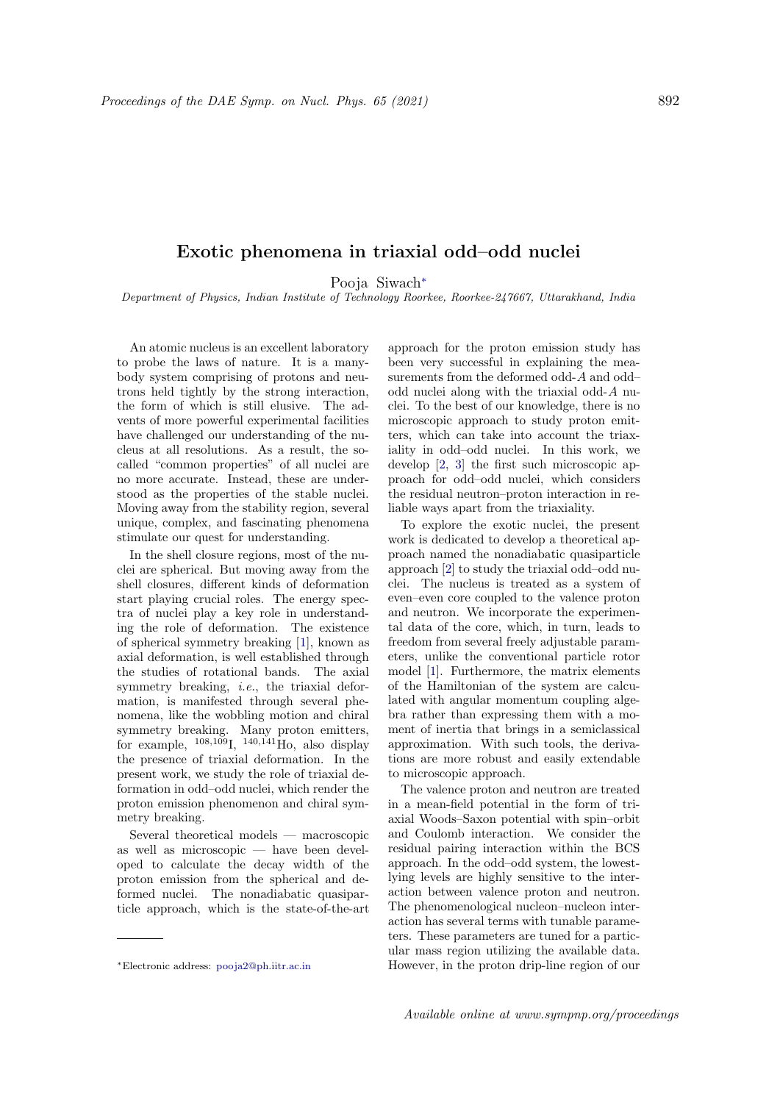## Exotic phenomena in triaxial odd–odd nuclei

Pooja Siwach<sup>∗</sup>

Department of Physics, Indian Institute of Technology Roorkee, Roorkee-247667, Uttarakhand, India

An atomic nucleus is an excellent laboratory to probe the laws of nature. It is a manybody system comprising of protons and neutrons held tightly by the strong interaction, the form of which is still elusive. The advents of more powerful experimental facilities have challenged our understanding of the nucleus at all resolutions. As a result, the socalled "common properties" of all nuclei are no more accurate. Instead, these are understood as the properties of the stable nuclei. Moving away from the stability region, several unique, complex, and fascinating phenomena stimulate our quest for understanding.

In the shell closure regions, most of the nuclei are spherical. But moving away from the shell closures, different kinds of deformation start playing crucial roles. The energy spectra of nuclei play a key role in understanding the role of deformation. The existence of spherical symmetry breaking [1], known as axial deformation, is well established through the studies of rotational bands. The axial symmetry breaking, *i.e.*, the triaxial deformation, is manifested through several phenomena, like the wobbling motion and chiral symmetry breaking. Many proton emitters, for example,  $^{108,109}$ I,  $^{140,141}$ Ho, also display the presence of triaxial deformation. In the present work, we study the role of triaxial deformation in odd–odd nuclei, which render the proton emission phenomenon and chiral symmetry breaking.

Several theoretical models — macroscopic as well as microscopic — have been developed to calculate the decay width of the proton emission from the spherical and deformed nuclei. The nonadiabatic quasiparticle approach, which is the state-of-the-art approach for the proton emission study has been very successful in explaining the measurements from the deformed odd-A and odd– odd nuclei along with the triaxial odd-A nuclei. To the best of our knowledge, there is no microscopic approach to study proton emitters, which can take into account the triaxiality in odd–odd nuclei. In this work, we develop [2, 3] the first such microscopic approach for odd–odd nuclei, which considers the residual neutron–proton interaction in reliable ways apart from the triaxiality.

To explore the exotic nuclei, the present work is dedicated to develop a theoretical approach named the nonadiabatic quasiparticle approach [2] to study the triaxial odd–odd nuclei. The nucleus is treated as a system of even–even core coupled to the valence proton and neutron. We incorporate the experimental data of the core, which, in turn, leads to freedom from several freely adjustable parameters, unlike the conventional particle rotor model [1]. Furthermore, the matrix elements of the Hamiltonian of the system are calculated with angular momentum coupling algebra rather than expressing them with a moment of inertia that brings in a semiclassical approximation. With such tools, the derivations are more robust and easily extendable to microscopic approach.

The valence proton and neutron are treated in a mean-field potential in the form of triaxial Woods–Saxon potential with spin–orbit and Coulomb interaction. We consider the residual pairing interaction within the BCS approach. In the odd–odd system, the lowestlying levels are highly sensitive to the interaction between valence proton and neutron. The phenomenological nucleon–nucleon interaction has several terms with tunable parameters. These parameters are tuned for a particular mass region utilizing the available data. However, in the proton drip-line region of our

<sup>∗</sup>Electronic address: pooja2@ph.iitr.ac.in